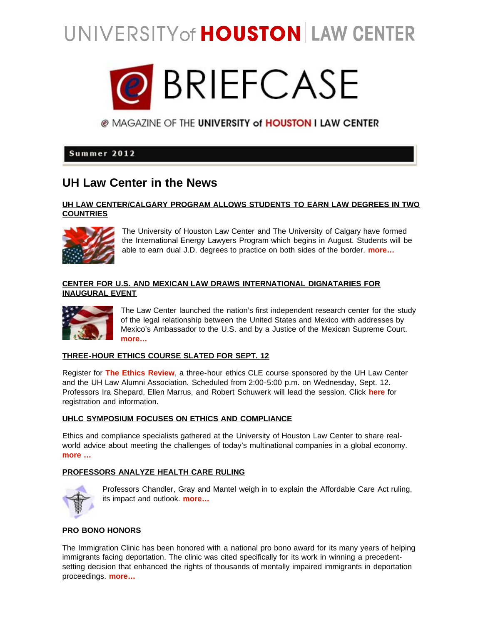# UNIVERSITY of HOUSTON LAW CENTER



@ MAGAZINE OF THE UNIVERSITY of HOUSTON I LAW CENTER

# Summer 2012

# **UH Law Center in the News**

### **[UH LAW CENTER/CALGARY PROGRAM ALLOWS STUDENTS TO EARN LAW DEGREES IN TWO](http://www.law.uh.edu/news/spring2012/0302Calgary.asp) [COUNTRIES](http://www.law.uh.edu/news/spring2012/0302Calgary.asp)**



 The University of Houston Law Center and The University of Calgary have formed the International Energy Lawyers Program which begins in August. Students will be able to earn dual J.D. degrees to practice on both sides of the border. **[more…](http://www.law.uh.edu/news/spring2012/0302Calgary.asp)**

# **[CENTER FOR U.S. AND MEXICAN LAW DRAWS INTERNATIONAL DIGNATARIES FOR](http://www.law.uh.edu/news/summer2012/0604mexican-law.asp) [INAUGURAL EVENT](http://www.law.uh.edu/news/summer2012/0604mexican-law.asp)**



 The Law Center launched the nation's first independent research center for the study of the legal relationship between the United States and Mexico with addresses by Mexico's Ambassador to the U.S. and by a Justice of the Mexican Supreme Court. **[more…](http://www.law.uh.edu/news/summer2012/0604mexican-law.asp)**

# **[THREE-HOUR ETHICS COURSE SLATED FOR SEPT. 12](http://www.law.uh.edu/the-ethics-revue/homepage.asp)**

Register for **[The Ethics Review](http://www.law.uh.edu/the-ethics-revue/homepage.asp)**, a three-hour ethics CLE course sponsored by the UH Law Center and the UH Law Alumni Association. Scheduled from 2:00-5:00 p.m. on Wednesday, Sept. 12. Professors Ira Shepard, Ellen Marrus, and Robert Schuwerk will lead the session. Click **[here](http://www.law.uh.edu/the-ethics-revue/homepage.asp)** for registration and information.

# **[UHLC SYMPOSIUM FOCUSES ON ETHICS AND COMPLIANCE](http://www.law.uh.edu/news/summer2012/0607Ethics.asp)**

Ethics and compliance specialists gathered at the University of Houston Law Center to share realworld advice about meeting the challenges of today's multinational companies in a global economy. **[more …](http://www.law.uh.edu/news/summer2012/0607Ethics.asp)**

# **[PROFESSORS ANALYZE HEALTH CARE RULING](http://www.law.uh.edu/news/summer2012/0629healthcare.asp)**



 Professors Chandler, Gray and Mantel weigh in to explain the Affordable Care Act ruling, its impact and outlook. **[more…](http://www.law.uh.edu/news/summer2012/0629healthcare.asp)**

# **[PRO BONO HONORS](http://www.law.uh.edu/news/spring2012/0215probono-award.asp)**

The Immigration Clinic has been honored with a national pro bono award for its many years of helping immigrants facing deportation. The clinic was cited specifically for its work in winning a precedentsetting decision that enhanced the rights of thousands of mentally impaired immigrants in deportation proceedings. **[more…](http://www.law.uh.edu/news/spring2012/0215probono-award.asp)**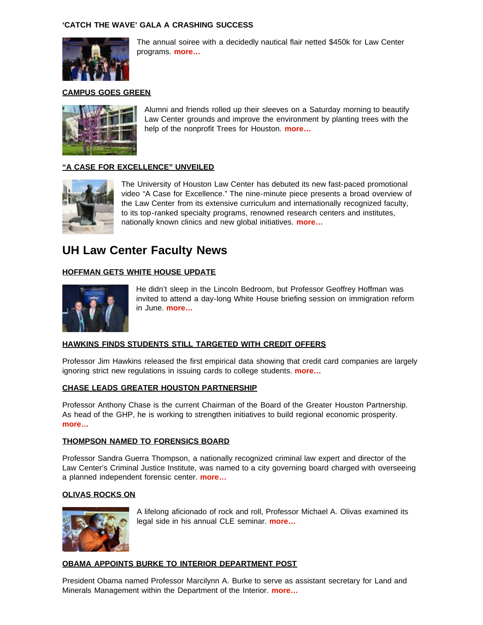### **['CATCH THE WAVE' GALA A CRASHING SUCCESS](http://www.law.uh.edu/news/spring2012/0404Gala.asp)**



 The annual soiree with a decidedly nautical flair netted \$450k for Law Center programs. **[more…](http://www.law.uh.edu/news/spring2012/0404Gala.asp)**

### **[CAMPUS GOES GREEN](http://www.law.uh.edu/news/spring2012/0215trees.asp)**



 Alumni and friends rolled up their sleeves on a Saturday morning to beautify Law Center grounds and improve the environment by planting trees with the help of the nonprofit Trees for Houston. **[more…](http://www.law.uh.edu/news/spring2012/0215trees.asp)**

# **["A CASE FOR EXCELLENCE" UNVEILED](http://www.law.uh.edu/news/spring2012/0402video.asp)**



 The University of Houston Law Center has debuted its new fast-paced promotional video "A Case for Excellence." The nine-minute piece presents a broad overview of the Law Center from its extensive curriculum and internationally recognized faculty, to its top-ranked specialty programs, renowned research centers and institutes, nationally known clinics and new global initiatives. **[more…](http://www.law.uh.edu/news/spring2012/0402video.asp)**

# **UH Law Center Faculty News**

# **[HOFFMAN GETS WHITE HOUSE UPDATE](http://www.law.uh.edu/news/summer2012/0620hoffman.asp)**



 He didn't sleep in the Lincoln Bedroom, but Professor Geoffrey Hoffman was invited to attend a day-long White House briefing session on immigration reform in June. **[more…](http://www.law.uh.edu/news/summer2012/0620hoffman.asp)**

# **[HAWKINS FINDS STUDENTS STILL TARGETED WITH CREDIT OFFERS](http://www.law.uh.edu/news/spring2012/0424Hawkins.asp)**

Professor Jim Hawkins released the first empirical data showing that credit card companies are largely ignoring strict new regulations in issuing cards to college students. **[more…](http://www.law.uh.edu/news/spring2012/0424Hawkins.asp)**

### **[CHASE LEADS GREATER HOUSTON PARTNERSHIP](http://www.law.uh.edu/news/spring2012/0103chase.asp)**

Professor Anthony Chase is the current Chairman of the Board of the Greater Houston Partnership. As head of the GHP, he is working to strengthen initiatives to build regional economic prosperity. **[more…](http://www.law.uh.edu/news/spring2012/0103chase.asp)**

### **[THOMPSON NAMED TO FORENSICS BOARD](http://www.law.uh.edu/news/summer2012/0524thompson.asp)**

Professor Sandra Guerra Thompson, a nationally recognized criminal law expert and director of the Law Center's Criminal Justice Institute, was named to a city governing board charged with overseeing a planned independent forensic center. **[more…](http://www.law.uh.edu/news/summer2012/0524thompson.asp)**

### **[OLIVAS ROCKS ON](http://www.law.uh.edu/news/spring2012/0301RockRoll.asp)**



 A lifelong aficionado of rock and roll, Professor Michael A. Olivas examined its legal side in his annual CLE seminar. **[more…](http://www.law.uh.edu/news/spring2012/0301RockRoll.asp)**

### **[OBAMA APPOINTS BURKE TO INTERIOR DEPARTMENT POST](http://www.law.uh.edu/news/spring2012/0209burke.asp)**

President Obama named Professor Marcilynn A. Burke to serve as assistant secretary for Land and Minerals Management within the Department of the Interior. **[more…](http://www.law.uh.edu/news/spring2012/0209burke.asp)**